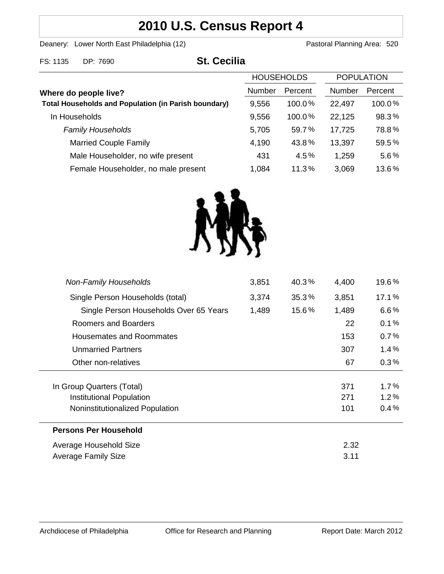# **2010 U.S. Census Report 4**

Deanery: Lower North East Philadelphia (12) Deanery: Lower North East Philadelphia (12)

| FS: 1135 DP: 7690 | <b>St. Cecilia</b> |
|-------------------|--------------------|
|                   | <b>HOUSE</b>       |
|                   |                    |

|                                                             | <b>HOUSEHOLDS</b> |         | <b>POPULATION</b> |         |
|-------------------------------------------------------------|-------------------|---------|-------------------|---------|
| Where do people live?                                       | <b>Number</b>     | Percent | Number            | Percent |
| <b>Total Households and Population (in Parish boundary)</b> | 9,556             | 100.0%  | 22,497            | 100.0%  |
| In Households                                               | 9,556             | 100.0%  | 22,125            | 98.3%   |
| <b>Family Households</b>                                    | 5,705             | 59.7%   | 17,725            | 78.8%   |
| <b>Married Couple Family</b>                                | 4,190             | 43.8%   | 13,397            | 59.5%   |
| Male Householder, no wife present                           | 431               | 4.5%    | 1,259             | 5.6%    |
| Female Householder, no male present                         | 1,084             | 11.3%   | 3,069             | 13.6%   |



| <b>Non-Family Households</b>           | 3,851 | 40.3% | 4,400 | 19.6%   |
|----------------------------------------|-------|-------|-------|---------|
| Single Person Households (total)       | 3,374 | 35.3% | 3,851 | 17.1%   |
| Single Person Households Over 65 Years | 1,489 | 15.6% | 1,489 | $6.6\%$ |
| Roomers and Boarders                   |       |       | 22    | 0.1%    |
| <b>Housemates and Roommates</b>        |       |       | 153   | 0.7%    |
| <b>Unmarried Partners</b>              |       |       | 307   | 1.4%    |
| Other non-relatives                    |       |       | 67    | 0.3%    |
| In Group Quarters (Total)              |       |       | 371   | $1.7\%$ |
| Institutional Population               |       |       | 271   | $1.2\%$ |
| Noninstitutionalized Population        |       |       | 101   | 0.4%    |
| <b>Persons Per Household</b>           |       |       |       |         |
| Average Household Size                 |       |       | 2.32  |         |
| <b>Average Family Size</b>             |       |       | 3.11  |         |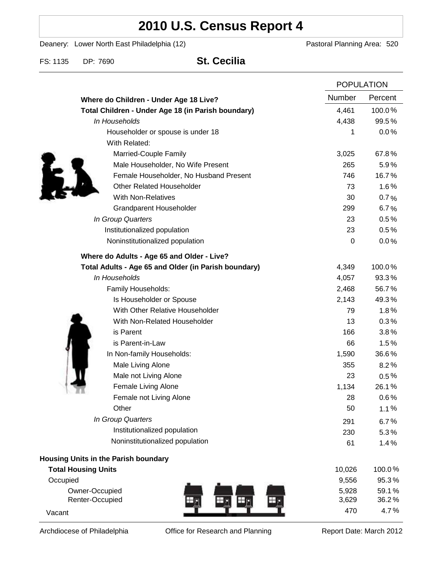# **2010 U.S. Census Report 4**

Deanery: Lower North East Philadelphia (12) Deanery: Lower North East Philadelphia (12)

FS: 1135 DP: 7690 **St. Cecilia**

|                                                      |  | <b>POPULATION</b> |                |
|------------------------------------------------------|--|-------------------|----------------|
| Where do Children - Under Age 18 Live?               |  | Number            | Percent        |
| Total Children - Under Age 18 (in Parish boundary)   |  | 4,461             | 100.0%         |
| In Households                                        |  | 4,438             | 99.5%          |
| Householder or spouse is under 18                    |  | 1                 | 0.0%           |
| With Related:                                        |  |                   |                |
| Married-Couple Family                                |  | 3,025             | 67.8%          |
| Male Householder, No Wife Present                    |  | 265               | 5.9%           |
| Female Householder, No Husband Present               |  | 746               | 16.7%          |
| <b>Other Related Householder</b>                     |  | 73                | 1.6%           |
| <b>With Non-Relatives</b>                            |  | 30                | 0.7%           |
| Grandparent Householder                              |  | 299               | 6.7%           |
| In Group Quarters                                    |  | 23                | 0.5%           |
| Institutionalized population                         |  | 23                | 0.5%           |
| Noninstitutionalized population                      |  | $\boldsymbol{0}$  | 0.0%           |
| Where do Adults - Age 65 and Older - Live?           |  |                   |                |
| Total Adults - Age 65 and Older (in Parish boundary) |  | 4,349             | 100.0%         |
| In Households                                        |  | 4,057             | 93.3%          |
| Family Households:                                   |  | 2,468             | 56.7%          |
| Is Householder or Spouse                             |  | 2,143             | 49.3%          |
| With Other Relative Householder                      |  | 79                | 1.8%           |
| With Non-Related Householder                         |  | 13                | 0.3%           |
| is Parent                                            |  | 166               | 3.8%           |
| is Parent-in-Law                                     |  | 66                | 1.5%           |
| In Non-family Households:                            |  | 1,590             | 36.6%          |
| Male Living Alone                                    |  | 355               | 8.2%           |
| Male not Living Alone                                |  | 23                | $0.5\%$        |
| Female Living Alone                                  |  | 1,134             | 26.1%          |
| Female not Living Alone                              |  | 28                | 0.6%           |
| Other                                                |  | 50                | 1.1%           |
| In Group Quarters                                    |  | 291               | 6.7%           |
| Institutionalized population                         |  | 230               | 5.3%           |
| Noninstitutionalized population                      |  | 61                | 1.4%           |
| Housing Units in the Parish boundary                 |  |                   |                |
| <b>Total Housing Units</b>                           |  | 10,026            | 100.0%         |
| Occupied                                             |  | 9,556             | 95.3%          |
| Owner-Occupied                                       |  | 5,928             | 59.1%<br>36.2% |
| Renter-Occupied                                      |  | 3,629<br>470      | 4.7%           |
| Vacant                                               |  |                   |                |

Archdiocese of Philadelphia **Office for Research and Planning** Report Date: March 2012